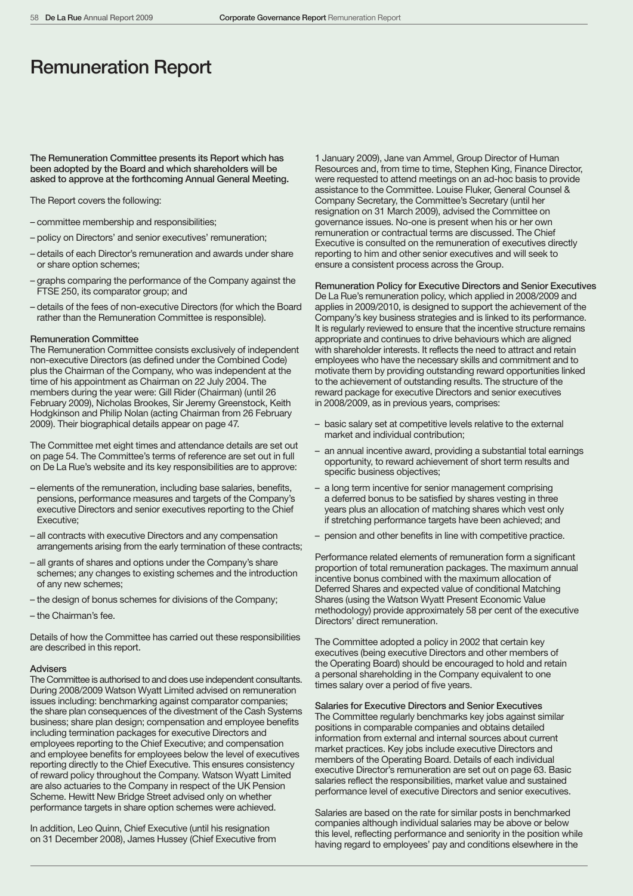# Remuneration Report

The Remuneration Committee presents its Report which has been adopted by the Board and which shareholders will be asked to approve at the forthcoming Annual General Meeting.

The Report covers the following:

- committee membership and responsibilities;
- policy on Directors' and senior executives' remuneration;
- details of each Director's remuneration and awards under share or share option schemes;
- graphs comparing the performance of the Company against the FTSE 250, its comparator group; and
- details of the fees of non-executive Directors (for which the Board rather than the Remuneration Committee is responsible).

#### Remuneration Committee

The Remuneration Committee consists exclusively of independent non-executive Directors (as defined under the Combined Code) plus the Chairman of the Company, who was independent at the time of his appointment as Chairman on 22 July 2004. The members during the year were: Gill Rider (Chairman) (until 26 February 2009), Nicholas Brookes, Sir Jeremy Greenstock, Keith Hodgkinson and Philip Nolan (acting Chairman from 26 February 2009). Their biographical details appear on page 47.

The Committee met eight times and attendance details are set out on page 54. The Committee's terms of reference are set out in full on De La Rue's website and its key responsibilities are to approve:

- elements of the remuneration, including base salaries, benefits, pensions, performance measures and targets of the Company's executive Directors and senior executives reporting to the Chief Executive;
- all contracts with executive Directors and any compensation arrangements arising from the early termination of these contracts;
- all grants of shares and options under the Company's share schemes; any changes to existing schemes and the introduction of any new schemes;
- the design of bonus schemes for divisions of the Company;
- the Chairman's fee.

Details of how the Committee has carried out these responsibilities are described in this report.

## Advisers

The Committee is authorised to and does use independent consultants. During 2008/2009 Watson Wyatt Limited advised on remuneration issues including: benchmarking against comparator companies; the share plan consequences of the divestment of the Cash Systems business; share plan design; compensation and employee benefits including termination packages for executive Directors and employees reporting to the Chief Executive; and compensation and employee benefits for employees below the level of executives reporting directly to the Chief Executive. This ensures consistency of reward policy throughout the Company. Watson Wyatt Limited are also actuaries to the Company in respect of the UK Pension Scheme. Hewitt New Bridge Street advised only on whether performance targets in share option schemes were achieved.

In addition, Leo Quinn, Chief Executive (until his resignation on 31 December 2008), James Hussey (Chief Executive from

1 January 2009), Jane van Ammel, Group Director of Human Resources and, from time to time, Stephen King, Finance Director, were requested to attend meetings on an ad-hoc basis to provide assistance to the Committee. Louise Fluker, General Counsel & Company Secretary, the Committee's Secretary (until her resignation on 31 March 2009), advised the Committee on governance issues. No-one is present when his or her own remuneration or contractual terms are discussed. The Chief Executive is consulted on the remuneration of executives directly reporting to him and other senior executives and will seek to ensure a consistent process across the Group.

Remuneration Policy for Executive Directors and Senior Executives De La Rue's remuneration policy, which applied in 2008/2009 and applies in 2009/2010, is designed to support the achievement of the Company's key business strategies and is linked to its performance. It is regularly reviewed to ensure that the incentive structure remains appropriate and continues to drive behaviours which are aligned with shareholder interests. It reflects the need to attract and retain employees who have the necessary skills and commitment and to motivate them by providing outstanding reward opportunities linked to the achievement of outstanding results. The structure of the reward package for executive Directors and senior executives in 2008/2009, as in previous years, comprises:

- basic salary set at competitive levels relative to the external market and individual contribution;
- an annual incentive award, providing a substantial total earnings opportunity, to reward achievement of short term results and specific business objectives;
- a long term incentive for senior management comprising a deferred bonus to be satisfied by shares vesting in three years plus an allocation of matching shares which vest only if stretching performance targets have been achieved; and
- pension and other benefits in line with competitive practice.

Performance related elements of remuneration form a significant proportion of total remuneration packages. The maximum annual incentive bonus combined with the maximum allocation of Deferred Shares and expected value of conditional Matching Shares (using the Watson Wyatt Present Economic Value methodology) provide approximately 58 per cent of the executive Directors' direct remuneration.

The Committee adopted a policy in 2002 that certain key executives (being executive Directors and other members of the Operating Board) should be encouraged to hold and retain a personal shareholding in the Company equivalent to one times salary over a period of five years.

## Salaries for Executive Directors and Senior Executives

The Committee regularly benchmarks key jobs against similar positions in comparable companies and obtains detailed information from external and internal sources about current market practices. Key jobs include executive Directors and members of the Operating Board. Details of each individual executive Director's remuneration are set out on page 63. Basic salaries reflect the responsibilities, market value and sustained performance level of executive Directors and senior executives.

Salaries are based on the rate for similar posts in benchmarked companies although individual salaries may be above or below this level, reflecting performance and seniority in the position while having regard to employees' pay and conditions elsewhere in the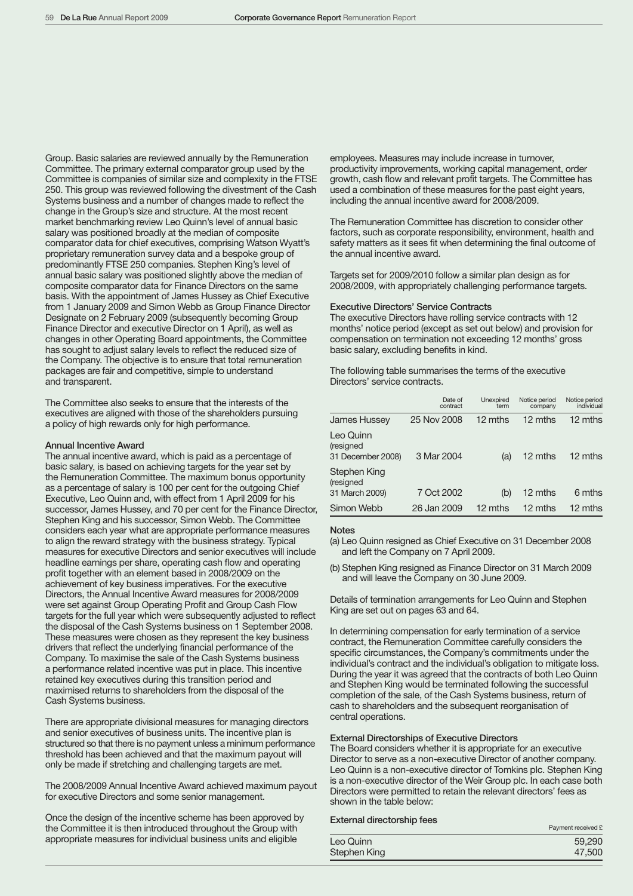Group. Basic salaries are reviewed annually by the Remuneration Committee. The primary external comparator group used by the Committee is companies of similar size and complexity in the FTSE 250. This group was reviewed following the divestment of the Cash Systems business and a number of changes made to reflect the change in the Group's size and structure. At the most recent market benchmarking review Leo Quinn's level of annual basic salary was positioned broadly at the median of composite comparator data for chief executives, comprising Watson Wyatt's proprietary remuneration survey data and a bespoke group of predominantly FTSE 250 companies. Stephen King's level of annual basic salary was positioned slightly above the median of composite comparator data for Finance Directors on the same basis. With the appointment of James Hussey as Chief Executive from 1 January 2009 and Simon Webb as Group Finance Director Designate on 2 February 2009 (subsequently becoming Group Finance Director and executive Director on 1 April), as well as changes in other Operating Board appointments, the Committee has sought to adjust salary levels to reflect the reduced size of the Company. The objective is to ensure that total remuneration packages are fair and competitive, simple to understand and transparent.

The Committee also seeks to ensure that the interests of the executives are aligned with those of the shareholders pursuing a policy of high rewards only for high performance.

#### Annual Incentive Award

The annual incentive award, which is paid as a percentage of basic salary, is based on achieving targets for the year set by the Remuneration Committee. The maximum bonus opportunity as a percentage of salary is 100 per cent for the outgoing Chief Executive, Leo Quinn and, with effect from 1 April 2009 for his successor, James Hussey, and 70 per cent for the Finance Director, Stephen King and his successor, Simon Webb. The Committee considers each year what are appropriate performance measures to align the reward strategy with the business strategy. Typical measures for executive Directors and senior executives will include headline earnings per share, operating cash flow and operating profit together with an element based in 2008/2009 on the achievement of key business imperatives. For the executive Directors, the Annual Incentive Award measures for 2008/2009 were set against Group Operating Profit and Group Cash Flow targets for the full year which were subsequently adjusted to reflect the disposal of the Cash Systems business on 1 September 2008. These measures were chosen as they represent the key business drivers that reflect the underlying financial performance of the Company. To maximise the sale of the Cash Systems business a performance related incentive was put in place. This incentive retained key executives during this transition period and maximised returns to shareholders from the disposal of the Cash Systems business.

There are appropriate divisional measures for managing directors and senior executives of business units. The incentive plan is structured so that there is no payment unless a minimum performance threshold has been achieved and that the maximum payout will only be made if stretching and challenging targets are met.

The 2008/2009 Annual Incentive Award achieved maximum payout for executive Directors and some senior management.

Once the design of the incentive scheme has been approved by the Committee it is then introduced throughout the Group with appropriate measures for individual business units and eligible

employees. Measures may include increase in turnover, productivity improvements, working capital management, order growth, cash flow and relevant profit targets. The Committee has used a combination of these measures for the past eight years, including the annual incentive award for 2008/2009.

The Remuneration Committee has discretion to consider other factors, such as corporate responsibility, environment, health and safety matters as it sees fit when determining the final outcome of the annual incentive award.

Targets set for 2009/2010 follow a similar plan design as for 2008/2009, with appropriately challenging performance targets.

## Executive Directors' Service Contracts

The executive Directors have rolling service contracts with 12 months' notice period (except as set out below) and provision for compensation on termination not exceeding 12 months' gross basic salary, excluding benefits in kind.

The following table summarises the terms of the executive Directors' service contracts.

|                                             | Date of<br>contract | Unexpired<br>term | Notice period<br>company | Notice period<br>individual |
|---------------------------------------------|---------------------|-------------------|--------------------------|-----------------------------|
| <b>James Hussey</b>                         | 25 Nov 2008         | 12 mths           | 12 mths                  | 12 mths                     |
| Leo Quinn<br>(resigned<br>31 December 2008) | 3 Mar 2004          | (a)               | 12 mths                  | 12 mths                     |
| Stephen King<br>(resigned                   |                     |                   |                          |                             |
| 31 March 2009)                              | 7 Oct 2002          | (b)               | 12 mths                  | 6 mths                      |
| Simon Webb                                  | 26 Jan 2009         | 12 mths           | 12 mths                  | 12 mths                     |

#### **Notes**

- (a) Leo Quinn resigned as Chief Executive on 31 December 2008 and left the Company on 7 April 2009.
- (b) Stephen King resigned as Finance Director on 31 March 2009 and will leave the Company on 30 June 2009.

Details of termination arrangements for Leo Quinn and Stephen King are set out on pages 63 and 64.

In determining compensation for early termination of a service contract, the Remuneration Committee carefully considers the specific circumstances, the Company's commitments under the individual's contract and the individual's obligation to mitigate loss. During the year it was agreed that the contracts of both Leo Quinn and Stephen King would be terminated following the successful completion of the sale, of the Cash Systems business, return of cash to shareholders and the subsequent reorganisation of central operations.

## External Directorships of Executive Directors

The Board considers whether it is appropriate for an executive Director to serve as a non-executive Director of another company. Leo Quinn is a non-executive director of Tomkins plc. Stephen King is a non-executive director of the Weir Group plc. In each case both Directors were permitted to retain the relevant directors' fees as shown in the table below:

## External directorship fees<br>Payment received £

|              | 1.911101110001100012 |
|--------------|----------------------|
| Leo Quinn    | 59,290               |
| Stephen King | 47,500               |
|              |                      |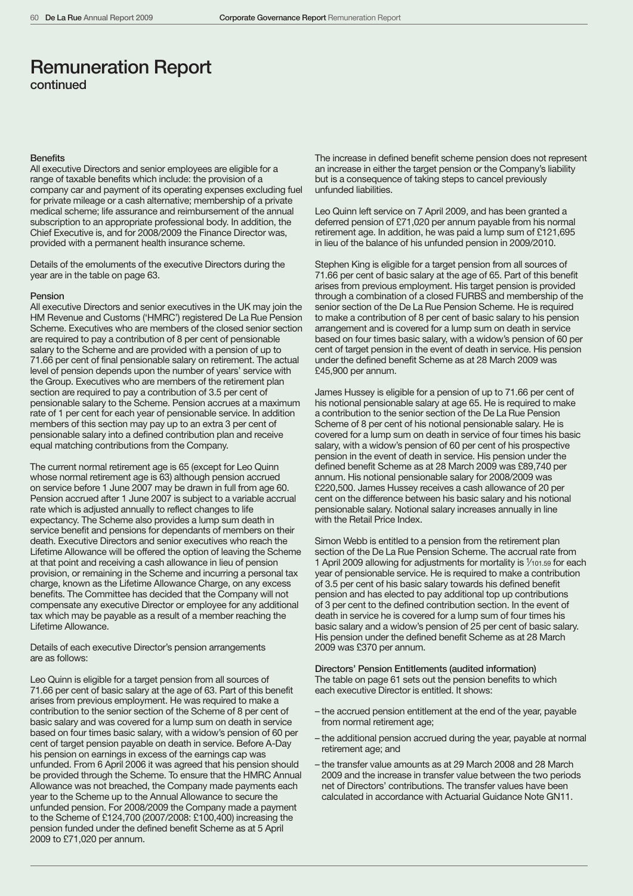## **Benefits**

All executive Directors and senior employees are eligible for a range of taxable benefits which include: the provision of a company car and payment of its operating expenses excluding fuel for private mileage or a cash alternative; membership of a private medical scheme; life assurance and reimbursement of the annual subscription to an appropriate professional body. In addition, the Chief Executive is, and for 2008/2009 the Finance Director was, provided with a permanent health insurance scheme.

Details of the emoluments of the executive Directors during the year are in the table on page 63.

## Pension

All executive Directors and senior executives in the UK may join the HM Revenue and Customs ('HMRC') registered De La Rue Pension Scheme. Executives who are members of the closed senior section are required to pay a contribution of 8 per cent of pensionable salary to the Scheme and are provided with a pension of up to 71.66 per cent of final pensionable salary on retirement. The actual level of pension depends upon the number of years' service with the Group. Executives who are members of the retirement plan section are required to pay a contribution of 3.5 per cent of pensionable salary to the Scheme. Pension accrues at a maximum rate of 1 per cent for each year of pensionable service. In addition members of this section may pay up to an extra 3 per cent of pensionable salary into a defined contribution plan and receive equal matching contributions from the Company.

The current normal retirement age is 65 (except for Leo Quinn whose normal retirement age is 63) although pension accrued on service before 1 June 2007 may be drawn in full from age 60. Pension accrued after 1 June 2007 is subject to a variable accrual rate which is adjusted annually to reflect changes to life expectancy. The Scheme also provides a lump sum death in service benefit and pensions for dependants of members on their death. Executive Directors and senior executives who reach the Lifetime Allowance will be offered the option of leaving the Scheme at that point and receiving a cash allowance in lieu of pension provision, or remaining in the Scheme and incurring a personal tax charge, known as the Lifetime Allowance Charge, on any excess benefits. The Committee has decided that the Company will not compensate any executive Director or employee for any additional tax which may be payable as a result of a member reaching the Lifetime Allowance.

Details of each executive Director's pension arrangements are as follows:

Leo Quinn is eligible for a target pension from all sources of 71.66 per cent of basic salary at the age of 63. Part of this benefit arises from previous employment. He was required to make a contribution to the senior section of the Scheme of 8 per cent of basic salary and was covered for a lump sum on death in service based on four times basic salary, with a widow's pension of 60 per cent of target pension payable on death in service. Before A-Day his pension on earnings in excess of the earnings cap was unfunded. From 6 April 2006 it was agreed that his pension should be provided through the Scheme. To ensure that the HMRC Annual Allowance was not breached, the Company made payments each year to the Scheme up to the Annual Allowance to secure the unfunded pension. For 2008/2009 the Company made a payment to the Scheme of £124,700 (2007/2008: £100,400) increasing the pension funded under the defined benefit Scheme as at 5 April 2009 to £71,020 per annum.

The increase in defined benefit scheme pension does not represent an increase in either the target pension or the Company's liability but is a consequence of taking steps to cancel previously unfunded liabilities.

Leo Quinn left service on 7 April 2009, and has been granted a deferred pension of £71,020 per annum payable from his normal retirement age. In addition, he was paid a lump sum of £121,695 in lieu of the balance of his unfunded pension in 2009/2010.

Stephen King is eligible for a target pension from all sources of 71.66 per cent of basic salary at the age of 65. Part of this benefit arises from previous employment. His target pension is provided through a combination of a closed FURBS and membership of the senior section of the De La Rue Pension Scheme. He is required to make a contribution of 8 per cent of basic salary to his pension arrangement and is covered for a lump sum on death in service based on four times basic salary, with a widow's pension of 60 per cent of target pension in the event of death in service. His pension under the defined benefit Scheme as at 28 March 2009 was £45,900 per annum.

James Hussey is eligible for a pension of up to 71.66 per cent of his notional pensionable salary at age 65. He is required to make a contribution to the senior section of the De La Rue Pension Scheme of 8 per cent of his notional pensionable salary. He is covered for a lump sum on death in service of four times his basic salary, with a widow's pension of 60 per cent of his prospective pension in the event of death in service. His pension under the defined benefit Scheme as at 28 March 2009 was £89,740 per annum. His notional pensionable salary for 2008/2009 was £220,500. James Hussey receives a cash allowance of 20 per cent on the difference between his basic salary and his notional pensionable salary. Notional salary increases annually in line with the Retail Price Index.

Simon Webb is entitled to a pension from the retirement plan section of the De La Rue Pension Scheme. The accrual rate from 1 April 2009 allowing for adjustments for mortality is  $1/101.59$  for each year of pensionable service. He is required to make a contribution of 3.5 per cent of his basic salary towards his defined benefit pension and has elected to pay additional top up contributions of 3 per cent to the defined contribution section. In the event of death in service he is covered for a lump sum of four times his basic salary and a widow's pension of 25 per cent of basic salary. His pension under the defined benefit Scheme as at 28 March 2009 was £370 per annum.

Directors' Pension Entitlements (audited information) The table on page 61 sets out the pension benefits to which each executive Director is entitled. It shows:

- the accrued pension entitlement at the end of the year, payable from normal retirement age;
- the additional pension accrued during the year, payable at normal retirement age; and
- the transfer value amounts as at 29 March 2008 and 28 March 2009 and the increase in transfer value between the two periods net of Directors' contributions. The transfer values have been calculated in accordance with Actuarial Guidance Note GN11.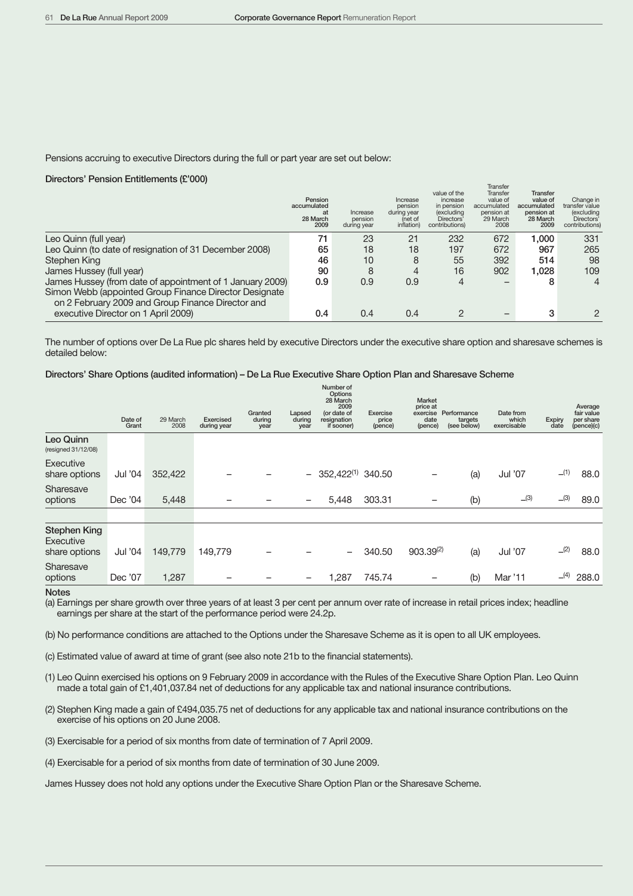Pensions accruing to executive Directors during the full or part year are set out below:

## Directors' Pension Entitlements (£'000)

|                                                                                                             | Pension<br>accumulated<br>at<br>28 March<br>2009 | Increase<br>pension<br>during year | Increase<br>pension<br>during year<br>(net of<br>inflation) | value of the<br>increase<br>in pension<br>(excluding<br>Directors'<br>contributions) | Transier<br>Transfer<br>value of<br>accumulated<br>pension at<br>29 March<br>2008 | <b>Transfer</b><br>value of<br>accumulated<br>pension at<br>28 March<br>2009 | Change in<br>transfer value<br>(excluding<br>Directors'<br>contributions) |
|-------------------------------------------------------------------------------------------------------------|--------------------------------------------------|------------------------------------|-------------------------------------------------------------|--------------------------------------------------------------------------------------|-----------------------------------------------------------------------------------|------------------------------------------------------------------------------|---------------------------------------------------------------------------|
| Leo Quinn (full year)                                                                                       | 71                                               | 23                                 | 21                                                          | 232                                                                                  | 672                                                                               | 000.1                                                                        | 331                                                                       |
| Leo Quinn (to date of resignation of 31 December 2008)                                                      | 65                                               | 18                                 | 18                                                          | 197                                                                                  | 672                                                                               | 967                                                                          | 265                                                                       |
| Stephen King                                                                                                | 46                                               | 10                                 | 8                                                           | 55                                                                                   | 392                                                                               | 514                                                                          | 98                                                                        |
| James Hussey (full year)                                                                                    | 90                                               | 8                                  | 4                                                           | 16                                                                                   | 902                                                                               | 1.028                                                                        | 109                                                                       |
| James Hussey (from date of appointment of 1 January 2009)                                                   | 0.9                                              | 0.9                                | 0.9                                                         | 4                                                                                    |                                                                                   | 8                                                                            | 4                                                                         |
| Simon Webb (appointed Group Finance Director Designate<br>on 2 February 2009 and Group Finance Director and |                                                  |                                    |                                                             |                                                                                      |                                                                                   |                                                                              |                                                                           |
| executive Director on 1 April 2009)                                                                         | 0.4                                              | 0.4                                | 0.4                                                         |                                                                                      |                                                                                   | 3                                                                            |                                                                           |

The number of options over De La Rue plc shares held by executive Directors under the executive share option and sharesave schemes is detailed below:

## Directors' Share Options (audited information) – De La Rue Executive Share Option Plan and Sharesave Scheme

|                                                   | Date of<br>Grant | 29 March<br>2008 | Exercised<br>during year | Granted<br>during<br>year | Lapsed<br>during<br>year | Number of<br>Options<br>28 March<br>2009<br>(or date of<br>resignation<br>if sooner) | Exercise<br>price<br>(pence) | Market<br>price at<br>exercise<br>date<br>(pence) | Performance<br>targets<br>(see below) | Date from<br>which<br>exercisable | Expiry<br>date | Average<br>fair value<br>per share<br>(pence)(c) |
|---------------------------------------------------|------------------|------------------|--------------------------|---------------------------|--------------------------|--------------------------------------------------------------------------------------|------------------------------|---------------------------------------------------|---------------------------------------|-----------------------------------|----------------|--------------------------------------------------|
| Leo Quinn<br>(resigned 31/12/08)                  |                  |                  |                          |                           |                          |                                                                                      |                              |                                                   |                                       |                                   |                |                                                  |
| Executive<br>share options                        | Jul '04          | 352,422          |                          |                           |                          | $-352,422^{(1)}340.50$                                                               |                              |                                                   | (a)                                   | Jul '07                           | (1)            | 88.0                                             |
| Sharesave<br>options                              | Dec '04          | 5,448            |                          |                           | -                        | 5,448                                                                                | 303.31                       |                                                   | (b)                                   | $\Box$ (3)                        | $\Box$ (3)     | 89.0                                             |
|                                                   |                  |                  |                          |                           |                          |                                                                                      |                              |                                                   |                                       |                                   |                |                                                  |
| <b>Stephen King</b><br>Executive<br>share options | Jul '04          | 149,779          | 149,779                  |                           |                          | $\qquad \qquad -$                                                                    | 340.50                       | $903.39^{(2)}$                                    | (a)                                   | Jul '07                           | (2)            | 88.0                                             |
| Sharesave<br>options                              | Dec '07          | 1,287            |                          |                           |                          | 1,287                                                                                | 745.74                       |                                                   | (b)                                   | Mar '11                           | (4)            | 288.0                                            |

**Notes** 

(a) Earnings per share growth over three years of at least 3 per cent per annum over rate of increase in retail prices index; headline earnings per share at the start of the performance period were 24.2p.

(b) No performance conditions are attached to the Options under the Sharesave Scheme as it is open to all UK employees.

(c) Estimated value of award at time of grant (see also note 21b to the financial statements).

(1) Leo Quinn exercised his options on 9 February 2009 in accordance with the Rules of the Executive Share Option Plan. Leo Quinn made a total gain of £1,401,037.84 net of deductions for any applicable tax and national insurance contributions.

(2) Stephen King made a gain of £494,035.75 net of deductions for any applicable tax and national insurance contributions on the exercise of his options on 20 June 2008.

(3) Exercisable for a period of six months from date of termination of 7 April 2009.

(4) Exercisable for a period of six months from date of termination of 30 June 2009.

James Hussey does not hold any options under the Executive Share Option Plan or the Sharesave Scheme.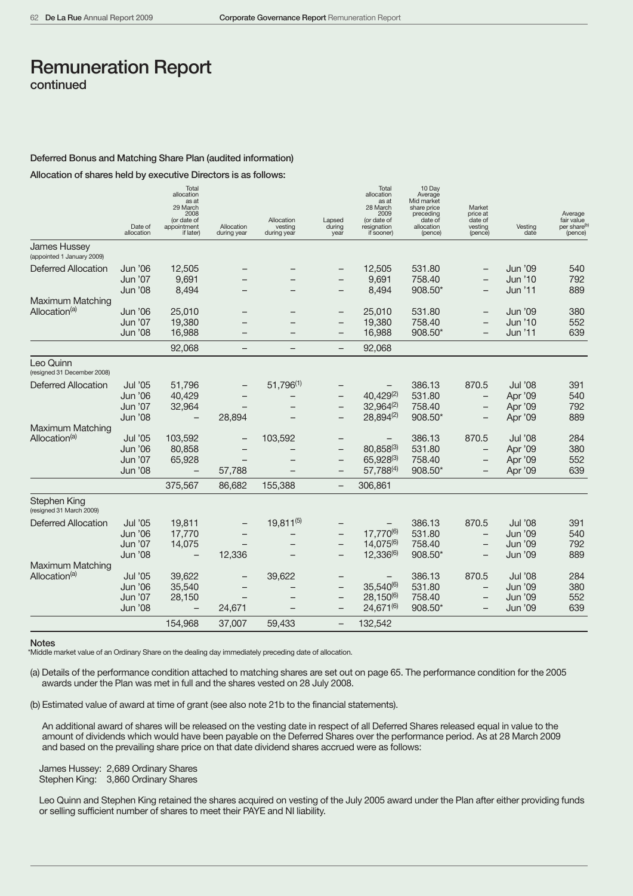## Deferred Bonus and Matching Share Plan (audited information)

Allocation of shares held by executive Directors is as follows:

|                                                   | Date of<br>allocation | Total<br>allocation<br>as at<br>29 March<br>2008<br>(or date of<br>appointment<br>if later) | Allocation<br>during year | Allocation<br>vesting<br>during year | Lapsed<br>during<br>year | Total<br>allocation<br>as at<br>28 March<br>2009<br>(or date of<br>resignation<br>if sooner) | 10 Day<br>Average<br>Mid market<br>share price<br>preceding<br>date of<br>allocation<br>(pence) | Market<br>price at<br>date of<br>vesting<br>(pence) | Vesting<br>date    | Average<br>fair value<br>per share <sup>(b)</sup><br>(pence) |
|---------------------------------------------------|-----------------------|---------------------------------------------------------------------------------------------|---------------------------|--------------------------------------|--------------------------|----------------------------------------------------------------------------------------------|-------------------------------------------------------------------------------------------------|-----------------------------------------------------|--------------------|--------------------------------------------------------------|
| <b>James Hussey</b><br>(appointed 1 January 2009) |                       |                                                                                             |                           |                                      |                          |                                                                                              |                                                                                                 |                                                     |                    |                                                              |
| Deferred Allocation                               | Jun '06<br>Jun '07    | 12,505<br>9,691                                                                             |                           |                                      |                          | 12,505<br>9,691                                                                              | 531.80<br>758.40                                                                                | $\qquad \qquad -$                                   | Jun '09<br>Jun '10 | 540<br>792                                                   |
|                                                   | <b>Jun '08</b>        | 8,494                                                                                       |                           |                                      | $\qquad \qquad$          | 8,494                                                                                        | 908.50*                                                                                         | $\overline{\phantom{m}}$                            | Jun '11            | 889                                                          |
| <b>Maximum Matching</b>                           |                       |                                                                                             |                           |                                      |                          |                                                                                              |                                                                                                 |                                                     |                    |                                                              |
| Allocation <sup>(a)</sup>                         | <b>Jun '06</b>        | 25,010                                                                                      |                           |                                      |                          | 25,010                                                                                       | 531.80                                                                                          |                                                     | <b>Jun '09</b>     | 380                                                          |
|                                                   | Jun '07               | 19,380                                                                                      |                           |                                      |                          | 19,380                                                                                       | 758.40                                                                                          | $\overline{\phantom{0}}$                            | Jun '10            | 552                                                          |
|                                                   | <b>Jun '08</b>        | 16,988                                                                                      |                           |                                      |                          | 16,988                                                                                       | 908.50*                                                                                         |                                                     | Jun '11            | 639                                                          |
|                                                   |                       | 92,068                                                                                      |                           |                                      | $\overline{\phantom{m}}$ | 92,068                                                                                       |                                                                                                 |                                                     |                    |                                                              |
| Leo Quinn<br>(resigned 31 December 2008)          |                       |                                                                                             |                           |                                      |                          |                                                                                              |                                                                                                 |                                                     |                    |                                                              |
| <b>Deferred Allocation</b>                        | Jul '05               | 51,796                                                                                      |                           | $51.796^{(1)}$                       |                          |                                                                                              | 386.13                                                                                          | 870.5                                               | <b>Jul '08</b>     | 391                                                          |
|                                                   | <b>Jun '06</b>        | 40,429                                                                                      |                           |                                      |                          | $40,429^{(2)}$                                                                               | 531.80                                                                                          | -                                                   | Apr '09            | 540                                                          |
|                                                   | Jun '07               | 32,964                                                                                      |                           |                                      | $\qquad \qquad$          | $32,964^{(2)}$                                                                               | 758.40                                                                                          | -                                                   | Apr '09            | 792                                                          |
|                                                   | <b>Jun '08</b>        | $\overline{\phantom{0}}$                                                                    | 28,894                    |                                      |                          | 28,894(2)                                                                                    | 908.50*                                                                                         |                                                     | Apr '09            | 889                                                          |
| <b>Maximum Matching</b>                           |                       |                                                                                             |                           |                                      |                          |                                                                                              |                                                                                                 |                                                     |                    |                                                              |
| Allocation <sup>(a)</sup>                         | Jul '05               | 103,592                                                                                     | $\qquad \qquad -$         | 103,592                              | $\overline{\phantom{m}}$ |                                                                                              | 386.13                                                                                          | 870.5                                               | Jul '08            | 284                                                          |
|                                                   | <b>Jun '06</b>        | 80,858                                                                                      |                           |                                      | $\qquad \qquad -$        | 80.858(3)                                                                                    | 531.80                                                                                          |                                                     | Apr '09            | 380                                                          |
|                                                   | Jun '07               | 65,928                                                                                      |                           |                                      | $\overline{\phantom{0}}$ | 65,928(3)                                                                                    | 758.40                                                                                          | -                                                   | Apr '09            | 552                                                          |
|                                                   | <b>Jun '08</b>        |                                                                                             | 57,788                    |                                      | $\overline{\phantom{0}}$ | 57,788(4)                                                                                    | 908.50*                                                                                         |                                                     | Apr '09            | 639                                                          |
|                                                   |                       | 375,567                                                                                     | 86,682                    | 155,388                              | $\qquad \qquad -$        | 306,861                                                                                      |                                                                                                 |                                                     |                    |                                                              |
| Stephen King<br>(resigned 31 March 2009)          |                       |                                                                                             |                           |                                      |                          |                                                                                              |                                                                                                 |                                                     |                    |                                                              |
| <b>Deferred Allocation</b>                        | Jul '05               | 19,811                                                                                      |                           | $19,811^{(5)}$                       |                          |                                                                                              | 386.13                                                                                          | 870.5                                               | <b>Jul '08</b>     | 391                                                          |
|                                                   | <b>Jun '06</b>        | 17,770                                                                                      |                           |                                      | $\overline{\phantom{m}}$ | 17,770(6)                                                                                    | 531.80                                                                                          | -                                                   | <b>Jun '09</b>     | 540                                                          |
|                                                   | Jun '07               | 14,075                                                                                      |                           |                                      | $\overline{\phantom{m}}$ | 14,075(6)                                                                                    | 758.40                                                                                          |                                                     | <b>Jun '09</b>     | 792                                                          |
|                                                   | <b>Jun '08</b>        | $\overline{\phantom{0}}$                                                                    | 12,336                    |                                      | $\qquad \qquad -$        | 12,336(6)                                                                                    | 908.50*                                                                                         |                                                     | <b>Jun '09</b>     | 889                                                          |
| <b>Maximum Matching</b>                           |                       |                                                                                             |                           |                                      |                          |                                                                                              |                                                                                                 |                                                     |                    |                                                              |
| Allocation <sup>(a)</sup>                         | Jul '05               | 39,622                                                                                      |                           | 39,622                               |                          |                                                                                              | 386.13                                                                                          | 870.5                                               | <b>Jul '08</b>     | 284                                                          |
|                                                   | <b>Jun '06</b>        | 35,540                                                                                      |                           |                                      | $\qquad \qquad$          | 35,540(6)                                                                                    | 531.80                                                                                          | -                                                   | <b>Jun '09</b>     | 380                                                          |
|                                                   | Jun '07               | 28,150                                                                                      |                           |                                      | $\overline{\phantom{0}}$ | $28,150^{(6)}$                                                                               | 758.40                                                                                          |                                                     | <b>Jun '09</b>     | 552                                                          |
|                                                   | <b>Jun '08</b>        | $\overline{\phantom{0}}$                                                                    | 24,671                    |                                      |                          | 24,671(6)                                                                                    | 908.50*                                                                                         | $\overline{\phantom{0}}$                            | <b>Jun '09</b>     | 639                                                          |
|                                                   |                       | 154,968                                                                                     | 37,007                    | 59,433                               | $\overline{\phantom{m}}$ | 132,542                                                                                      |                                                                                                 |                                                     |                    |                                                              |

#### **Notes**

\*Middle market value of an Ordinary Share on the dealing day immediately preceding date of allocation.

(a) Details of the performance condition attached to matching shares are set out on page 65. The performance condition for the 2005 awards under the Plan was met in full and the shares vested on 28 July 2008.

(b) Estimated value of award at time of grant (see also note 21b to the financial statements).

An additional award of shares will be released on the vesting date in respect of all Deferred Shares released equal in value to the amount of dividends which would have been payable on the Deferred Shares over the performance period. As at 28 March 2009 and based on the prevailing share price on that date dividend shares accrued were as follows:

James Hussey: 2,689 Ordinary Shares Stephen King: 3,860 Ordinary Shares

Leo Quinn and Stephen King retained the shares acquired on vesting of the July 2005 award under the Plan after either providing funds or selling sufficient number of shares to meet their PAYE and NI liability.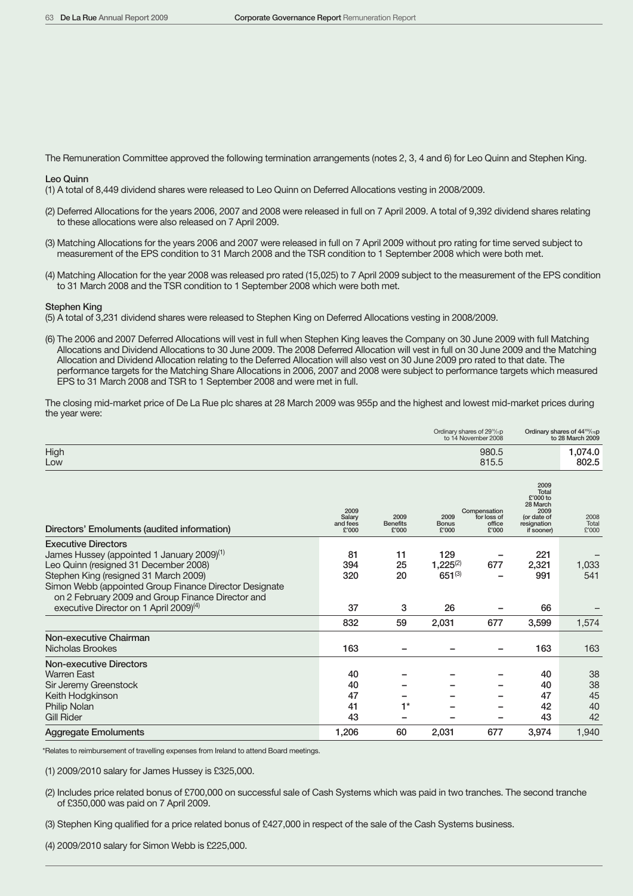The Remuneration Committee approved the following termination arrangements (notes 2, 3, 4 and 6) for Leo Quinn and Stephen King.

Leo Quinn

(1) A total of 8,449 dividend shares were released to Leo Quinn on Deferred Allocations vesting in 2008/2009.

- (2) Deferred Allocations for the years 2006, 2007 and 2008 were released in full on 7 April 2009. A total of 9,392 dividend shares relating to these allocations were also released on 7 April 2009.
- (3) Matching Allocations for the years 2006 and 2007 were released in full on 7 April 2009 without pro rating for time served subject to measurement of the EPS condition to 31 March 2008 and the TSR condition to 1 September 2008 which were both met.
- (4) Matching Allocation for the year 2008 was released pro rated (15,025) to 7 April 2009 subject to the measurement of the EPS condition to 31 March 2008 and the TSR condition to 1 September 2008 which were both met.

## Stephen King

- (5) A total of 3,231 dividend shares were released to Stephen King on Deferred Allocations vesting in 2008/2009.
- (6) The 2006 and 2007 Deferred Allocations will vest in full when Stephen King leaves the Company on 30 June 2009 with full Matching Allocations and Dividend Allocations to 30 June 2009. The 2008 Deferred Allocation will vest in full on 30 June 2009 and the Matching Allocation and Dividend Allocation relating to the Deferred Allocation will also vest on 30 June 2009 pro rated to that date. The performance targets for the Matching Share Allocations in 2006, 2007 and 2008 were subject to performance targets which measured EPS to 31 March 2008 and TSR to 1 September 2008 and were met in full.

The closing mid-market price of De La Rue plc shares at 28 March 2009 was 955p and the highest and lowest mid-market prices during the year were:

|                                                                                                                                                                                                                                  |                                     |                                  |                                     | Ordinary shares of 29 <sup>16</sup> /21 <b>p</b><br>to 14 November 2008 |                                                                                           | Ordinary shares of 44 <sup>152</sup> / <sub>75</sub> p<br>to 28 March 2009 |
|----------------------------------------------------------------------------------------------------------------------------------------------------------------------------------------------------------------------------------|-------------------------------------|----------------------------------|-------------------------------------|-------------------------------------------------------------------------|-------------------------------------------------------------------------------------------|----------------------------------------------------------------------------|
| High<br>Low                                                                                                                                                                                                                      |                                     |                                  |                                     | 980.5<br>815.5                                                          |                                                                                           | 1,074.0<br>802.5                                                           |
| Directors' Emoluments (audited information)                                                                                                                                                                                      | 2009<br>Salary<br>and fees<br>£'000 | 2009<br><b>Benefits</b><br>£'000 | 2009<br><b>Bonus</b><br>£'000       | Compensation<br>for loss of<br>office<br>£'000                          | 2009<br>Total<br>£'000 to<br>28 March<br>2009<br>(or date of<br>resignation<br>if sooner) | 2008<br>Total<br>£'000                                                     |
| <b>Executive Directors</b><br>James Hussey (appointed 1 January 2009) <sup>(1)</sup><br>Leo Quinn (resigned 31 December 2008)<br>Stephen King (resigned 31 March 2009)<br>Simon Webb (appointed Group Finance Director Designate | 81<br>394<br>320                    | 11<br>25<br>20                   | 129<br>$1,225^{(2)}$<br>$651^{(3)}$ | 677                                                                     | 221<br>2,321<br>991                                                                       | 1,033<br>541                                                               |
| on 2 February 2009 and Group Finance Director and<br>executive Director on 1 April 2009) <sup>(4)</sup>                                                                                                                          | 37                                  | 3                                | 26                                  |                                                                         | 66                                                                                        |                                                                            |
|                                                                                                                                                                                                                                  | 832                                 | 59                               | 2,031                               | 677                                                                     | 3,599                                                                                     | 1,574                                                                      |
| Non-executive Chairman<br>Nicholas Brookes                                                                                                                                                                                       | 163                                 |                                  |                                     |                                                                         | 163                                                                                       | 163                                                                        |
| <b>Non-executive Directors</b><br><b>Warren East</b><br>Sir Jeremy Greenstock<br>Keith Hodgkinson<br><b>Philip Nolan</b><br><b>Gill Rider</b>                                                                                    | 40<br>40<br>47<br>41<br>43          | $1*$                             |                                     |                                                                         | 40<br>40<br>47<br>42<br>43                                                                | 38<br>38<br>45<br>40<br>42                                                 |
| <b>Aggregate Emoluments</b>                                                                                                                                                                                                      | 1,206                               | 60                               | 2,031                               | 677                                                                     | 3,974                                                                                     | 1,940                                                                      |

\*Relates to reimbursement of travelling expenses from Ireland to attend Board meetings.

(1) 2009/2010 salary for James Hussey is £325,000.

- (2) Includes price related bonus of £700,000 on successful sale of Cash Systems which was paid in two tranches. The second tranche of £350,000 was paid on 7 April 2009.
- (3) Stephen King qualified for a price related bonus of £427,000 in respect of the sale of the Cash Systems business.

(4) 2009/2010 salary for Simon Webb is £225,000.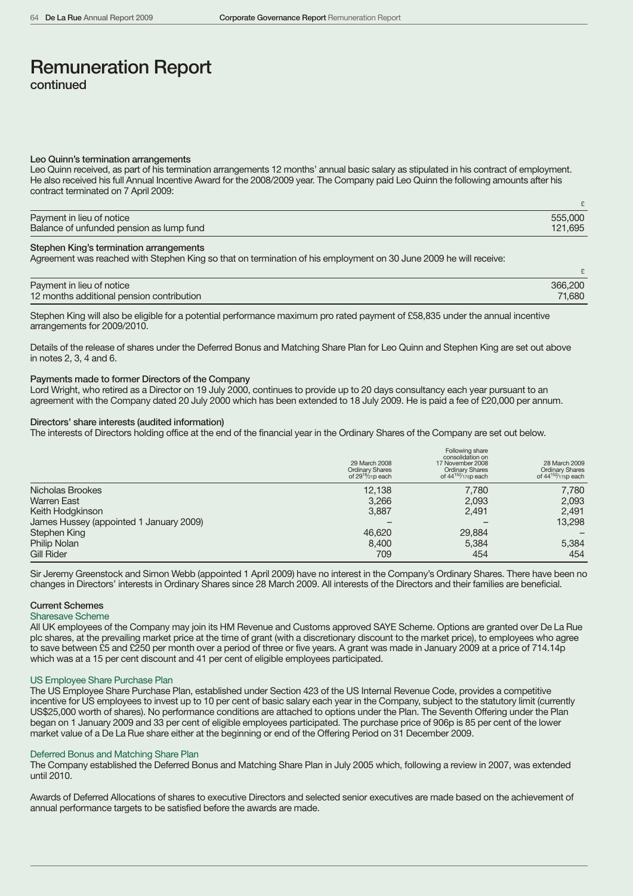#### Leo Quinn's termination arrangements

Leo Quinn received, as part of his termination arrangements 12 months' annual basic salary as stipulated in his contract of employment. He also received his full Annual Incentive Award for the 2008/2009 year. The Company paid Leo Quinn the following amounts after his contract terminated on 7 April 2009:

| Payment in lieu of notice                | 555,000 |
|------------------------------------------|---------|
| Balance of unfunded pension as lump fund | 121.695 |

#### Stephen King's termination arrangements

Agreement was reached with Stephen King so that on termination of his employment on 30 June 2009 he will receive:

| Payment in lieu of notice                 | 366,200 |
|-------------------------------------------|---------|
| 12 months additional pension contribution | 71,680  |

Stephen King will also be eligible for a potential performance maximum pro rated payment of £58,835 under the annual incentive arrangements for 2009/2010.

Details of the release of shares under the Deferred Bonus and Matching Share Plan for Leo Quinn and Stephen King are set out above in notes 2, 3, 4 and 6.

## Payments made to former Directors of the Company

Lord Wright, who retired as a Director on 19 July 2000, continues to provide up to 20 days consultancy each year pursuant to an agreement with the Company dated 20 July 2000 which has been extended to 18 July 2009. He is paid a fee of £20,000 per annum.

## Directors' share interests (audited information)

The interests of Directors holding office at the end of the financial year in the Ordinary Shares of the Company are set out below.

|                                         | 29 March 2008<br><b>Ordinary Shares</b><br>of $29^{16}/_{21}p$ each | Following share<br>consolidation on<br>17 November 2008<br><b>Ordinary Shares</b><br>of 44 <sup>152</sup> /175p each | 28 March 2009<br><b>Ordinary Shares</b><br>of 44 <sup>152</sup> /175p each |
|-----------------------------------------|---------------------------------------------------------------------|----------------------------------------------------------------------------------------------------------------------|----------------------------------------------------------------------------|
| Nicholas Brookes                        | 12,138                                                              | 7,780                                                                                                                | 7,780                                                                      |
| <b>Warren East</b>                      | 3,266                                                               | 2,093                                                                                                                | 2,093                                                                      |
| Keith Hodgkinson                        | 3,887                                                               | 2,491                                                                                                                | 2,491                                                                      |
| James Hussey (appointed 1 January 2009) |                                                                     |                                                                                                                      | 13,298                                                                     |
| Stephen King                            | 46,620                                                              | 29,884                                                                                                               |                                                                            |
| <b>Philip Nolan</b>                     | 8,400                                                               | 5,384                                                                                                                | 5,384                                                                      |
| <b>Gill Rider</b>                       | 709                                                                 | 454                                                                                                                  | 454                                                                        |

Sir Jeremy Greenstock and Simon Webb (appointed 1 April 2009) have no interest in the Company's Ordinary Shares. There have been no changes in Directors' interests in Ordinary Shares since 28 March 2009. All interests of the Directors and their families are beneficial.

## Current Schemes

## Sharesave Scheme

All UK employees of the Company may join its HM Revenue and Customs approved SAYE Scheme. Options are granted over De La Rue plc shares, at the prevailing market price at the time of grant (with a discretionary discount to the market price), to employees who agree to save between £5 and £250 per month over a period of three or five years. A grant was made in January 2009 at a price of 714.14p which was at a 15 per cent discount and 41 per cent of eligible employees participated.

### US Employee Share Purchase Plan

The US Employee Share Purchase Plan, established under Section 423 of the US Internal Revenue Code, provides a competitive incentive for US employees to invest up to 10 per cent of basic salary each year in the Company, subject to the statutory limit (currently US\$25,000 worth of shares). No performance conditions are attached to options under the Plan. The Seventh Offering under the Plan began on 1 January 2009 and 33 per cent of eligible employees participated. The purchase price of 906p is 85 per cent of the lower market value of a De La Rue share either at the beginning or end of the Offering Period on 31 December 2009.

## Deferred Bonus and Matching Share Plan

The Company established the Deferred Bonus and Matching Share Plan in July 2005 which, following a review in 2007, was extended until 2010.

Awards of Deferred Allocations of shares to executive Directors and selected senior executives are made based on the achievement of annual performance targets to be satisfied before the awards are made.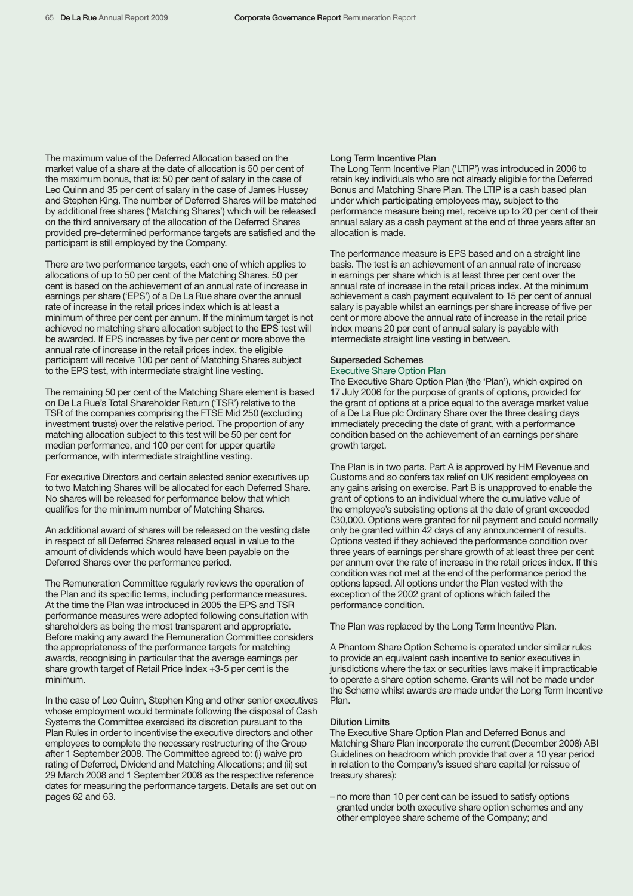The maximum value of the Deferred Allocation based on the market value of a share at the date of allocation is 50 per cent of the maximum bonus, that is: 50 per cent of salary in the case of Leo Quinn and 35 per cent of salary in the case of James Hussey and Stephen King. The number of Deferred Shares will be matched by additional free shares ('Matching Shares') which will be released on the third anniversary of the allocation of the Deferred Shares provided pre-determined performance targets are satisfied and the participant is still employed by the Company.

There are two performance targets, each one of which applies to allocations of up to 50 per cent of the Matching Shares. 50 per cent is based on the achievement of an annual rate of increase in earnings per share ('EPS') of a De La Rue share over the annual rate of increase in the retail prices index which is at least a minimum of three per cent per annum. If the minimum target is not achieved no matching share allocation subject to the EPS test will be awarded. If EPS increases by five per cent or more above the annual rate of increase in the retail prices index, the eligible participant will receive 100 per cent of Matching Shares subject to the EPS test, with intermediate straight line vesting.

The remaining 50 per cent of the Matching Share element is based on De La Rue's Total Shareholder Return ('TSR') relative to the TSR of the companies comprising the FTSE Mid 250 (excluding investment trusts) over the relative period. The proportion of any matching allocation subject to this test will be 50 per cent for median performance, and 100 per cent for upper quartile performance, with intermediate straightline vesting.

For executive Directors and certain selected senior executives up to two Matching Shares will be allocated for each Deferred Share. No shares will be released for performance below that which qualifies for the minimum number of Matching Shares.

An additional award of shares will be released on the vesting date in respect of all Deferred Shares released equal in value to the amount of dividends which would have been payable on the Deferred Shares over the performance period.

The Remuneration Committee regularly reviews the operation of the Plan and its specific terms, including performance measures. At the time the Plan was introduced in 2005 the EPS and TSR performance measures were adopted following consultation with shareholders as being the most transparent and appropriate. Before making any award the Remuneration Committee considers the appropriateness of the performance targets for matching awards, recognising in particular that the average earnings per share growth target of Retail Price Index +3-5 per cent is the minimum.

In the case of Leo Quinn, Stephen King and other senior executives whose employment would terminate following the disposal of Cash Systems the Committee exercised its discretion pursuant to the Plan Rules in order to incentivise the executive directors and other employees to complete the necessary restructuring of the Group after 1 September 2008. The Committee agreed to: (i) waive pro rating of Deferred, Dividend and Matching Allocations; and (ii) set 29 March 2008 and 1 September 2008 as the respective reference dates for measuring the performance targets. Details are set out on pages 62 and 63.

## Long Term Incentive Plan

The Long Term Incentive Plan ('LTIP') was introduced in 2006 to retain key individuals who are not already eligible for the Deferred Bonus and Matching Share Plan. The LTIP is a cash based plan under which participating employees may, subject to the performance measure being met, receive up to 20 per cent of their annual salary as a cash payment at the end of three years after an allocation is made.

The performance measure is EPS based and on a straight line basis. The test is an achievement of an annual rate of increase in earnings per share which is at least three per cent over the annual rate of increase in the retail prices index. At the minimum achievement a cash payment equivalent to 15 per cent of annual salary is payable whilst an earnings per share increase of five per cent or more above the annual rate of increase in the retail price index means 20 per cent of annual salary is payable with intermediate straight line vesting in between.

## Superseded Schemes

## Executive Share Option Plan

The Executive Share Option Plan (the 'Plan'), which expired on 17 July 2006 for the purpose of grants of options, provided for the grant of options at a price equal to the average market value of a De La Rue plc Ordinary Share over the three dealing days immediately preceding the date of grant, with a performance condition based on the achievement of an earnings per share growth target.

The Plan is in two parts. Part A is approved by HM Revenue and Customs and so confers tax relief on UK resident employees on any gains arising on exercise. Part B is unapproved to enable the grant of options to an individual where the cumulative value of the employee's subsisting options at the date of grant exceeded £30,000. Options were granted for nil payment and could normally only be granted within 42 days of any announcement of results. Options vested if they achieved the performance condition over three years of earnings per share growth of at least three per cent per annum over the rate of increase in the retail prices index. If this condition was not met at the end of the performance period the options lapsed. All options under the Plan vested with the exception of the 2002 grant of options which failed the performance condition.

The Plan was replaced by the Long Term Incentive Plan.

A Phantom Share Option Scheme is operated under similar rules to provide an equivalent cash incentive to senior executives in jurisdictions where the tax or securities laws make it impracticable to operate a share option scheme. Grants will not be made under the Scheme whilst awards are made under the Long Term Incentive Plan.

#### Dilution Limits

The Executive Share Option Plan and Deferred Bonus and Matching Share Plan incorporate the current (December 2008) ABI Guidelines on headroom which provide that over a 10 year period in relation to the Company's issued share capital (or reissue of treasury shares):

– no more than 10 per cent can be issued to satisfy options granted under both executive share option schemes and any other employee share scheme of the Company; and